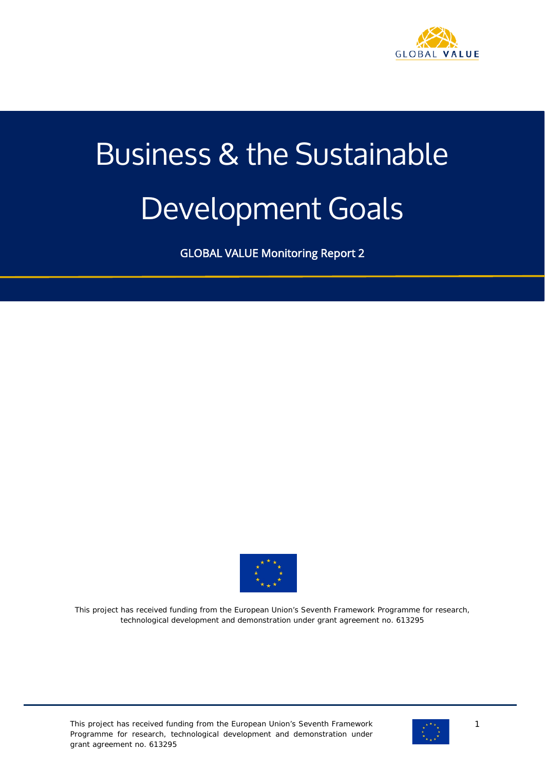

# Business & the Sustainable Development Goals

GLOBAL VALUE Monitoring Report 2



This project has received funding from the European Union's Seventh Framework Programme for research, technological development and demonstration under grant agreement no. 613295

This project has received funding from the European Union's Seventh Framework Programme for research, technological development and demonstration under grant agreement no. 613295



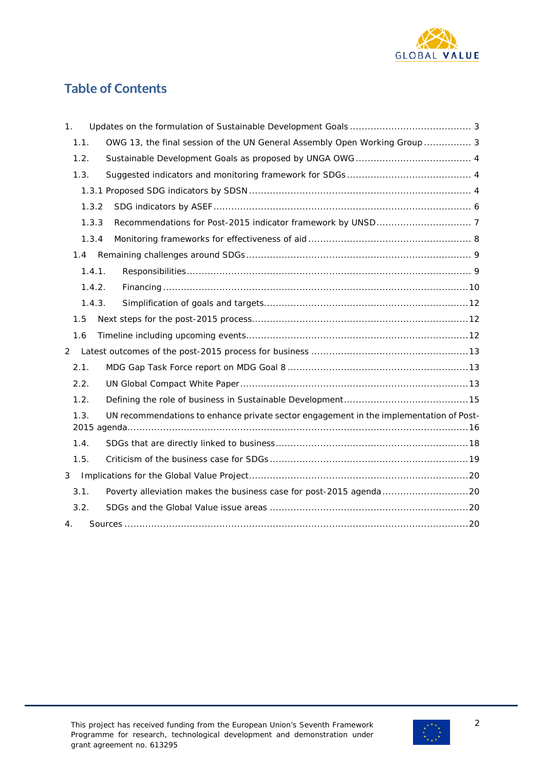

# **Table of Contents**

| 1.                                                                                             |
|------------------------------------------------------------------------------------------------|
| OWG 13, the final session of the UN General Assembly Open Working Group  3<br>1.1.             |
| 1.2.                                                                                           |
| 1.3.                                                                                           |
|                                                                                                |
| 1.3.2                                                                                          |
| 1.3.3                                                                                          |
| 1.3.4                                                                                          |
| 1.4                                                                                            |
| 1.4.1.                                                                                         |
| 1.4.2.                                                                                         |
| 1.4.3.                                                                                         |
| 1.5                                                                                            |
| 1.6                                                                                            |
| 2                                                                                              |
| 2.1.                                                                                           |
| 2.2.                                                                                           |
| 1.2.                                                                                           |
| UN recommendations to enhance private sector engagement in the implementation of Post-<br>1.3. |
| 1.4.                                                                                           |
| 1.5.                                                                                           |
| 3                                                                                              |
| Poverty alleviation makes the business case for post-2015 agenda 20<br>3.1.                    |
| 3.2.                                                                                           |
| 4.                                                                                             |

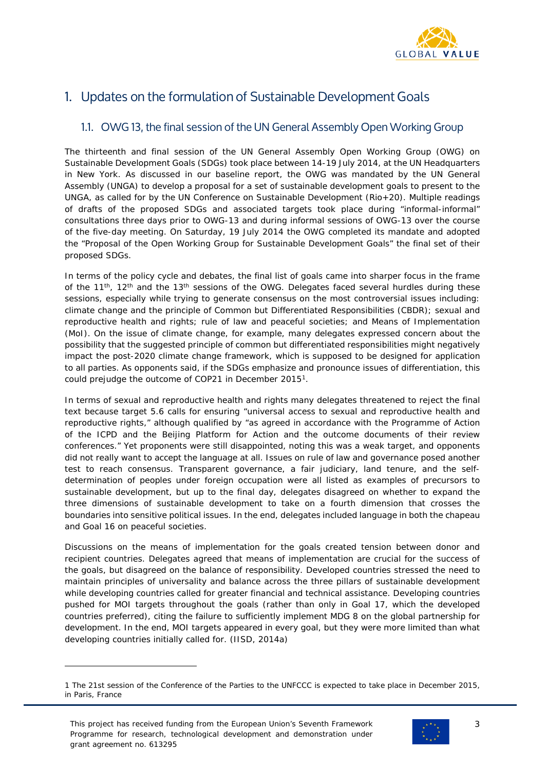

# <span id="page-2-0"></span>1. Updates on the formulation of Sustainable Development Goals

# <span id="page-2-1"></span>1.1. OWG 13, the final session of the UN General Assembly Open Working Group

The thirteenth and final session of the UN General Assembly Open Working Group (OWG) on Sustainable Development Goals (SDGs) took place between 14-19 July 2014, at the UN Headquarters in New York. As discussed in our baseline report, the OWG was mandated by the UN General Assembly (UNGA) to develop a proposal for a set of sustainable development goals to present to the UNGA, as called for by the UN Conference on Sustainable Development (Rio+20). Multiple readings of drafts of the proposed SDGs and associated targets took place during "informal-informal" consultations three days prior to OWG-13 and during informal sessions of OWG-13 over the course of the five-day meeting. On Saturday, 19 July 2014 the OWG completed its mandate and adopted the "Proposal of the Open Working Group for Sustainable Development Goals" the final set of their proposed SDGs.

In terms of the policy cycle and debates, the final list of goals came into sharper focus in the frame of the  $11^{th}$ ,  $12^{th}$  and the  $13^{th}$  sessions of the OWG. Delegates faced several hurdles during these sessions, especially while trying to generate consensus on the most controversial issues including: climate change and the principle of Common but Differentiated Responsibilities (CBDR); sexual and reproductive health and rights; rule of law and peaceful societies; and Means of Implementation (MoI). On the issue of climate change, for example, many delegates expressed concern about the possibility that the suggested principle of common but differentiated responsibilities might negatively impact the post-2020 climate change framework, which is supposed to be designed for application to all parties. As opponents said, if the SDGs emphasize and pronounce issues of differentiation, this could prejudge the outcome of COP21 in December 2015[1.](#page-2-2)

In terms of sexual and reproductive health and rights many delegates threatened to reject the final text because target 5.6 calls for ensuring "universal access to sexual and reproductive health and reproductive rights," although qualified by "as agreed in accordance with the Programme of Action of the ICPD and the Beijing Platform for Action and the outcome documents of their review conferences." Yet proponents were still disappointed, noting this was a weak target, and opponents did not really want to accept the language at all. Issues on rule of law and governance posed another test to reach consensus. Transparent governance, a fair judiciary, land tenure, and the selfdetermination of peoples under foreign occupation were all listed as examples of precursors to sustainable development, but up to the final day, delegates disagreed on whether to expand the three dimensions of sustainable development to take on a fourth dimension that crosses the boundaries into sensitive political issues. In the end, delegates included language in both the chapeau and Goal 16 on peaceful societies.

Discussions on the means of implementation for the goals created tension between donor and recipient countries. Delegates agreed that means of implementation are crucial for the success of the goals, but disagreed on the balance of responsibility. Developed countries stressed the need to maintain principles of universality and balance across the three pillars of sustainable development while developing countries called for greater financial and technical assistance. Developing countries pushed for MOI targets throughout the goals (rather than only in Goal 17, which the developed countries preferred), citing the failure to sufficiently implement MDG 8 on the global partnership for development. In the end, MOI targets appeared in every goal, but they were more limited than what developing countries initially called for. (IISD, 2014a)

i<br>I



<span id="page-2-2"></span><sup>1</sup> The 21st session of the Conference of the Parties to the UNFCCC is expected to take place in December 2015, in Paris, France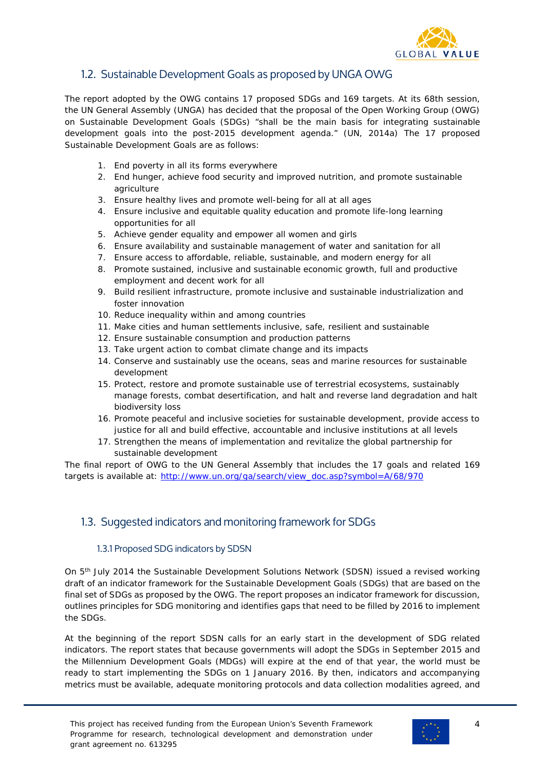

# <span id="page-3-0"></span>1.2. Sustainable Development Goals as proposed by UNGA OWG

The report adopted by the OWG contains 17 proposed SDGs and 169 targets. At its 68th session, the UN General Assembly (UNGA) has decided that the proposal of the Open Working Group (OWG) on Sustainable Development Goals (SDGs) "shall be the main basis for integrating sustainable development goals into the post-2015 development agenda." (UN, 2014a) The 17 proposed Sustainable Development Goals are as follows:

- 1. End poverty in all its forms everywhere
- 2. End hunger, achieve food security and improved nutrition, and promote sustainable agriculture
- 3. Ensure healthy lives and promote well-being for all at all ages
- 4. Ensure inclusive and equitable quality education and promote life-long learning opportunities for all
- 5. Achieve gender equality and empower all women and girls
- 6. Ensure availability and sustainable management of water and sanitation for all
- 7. Ensure access to affordable, reliable, sustainable, and modern energy for all
- 8. Promote sustained, inclusive and sustainable economic growth, full and productive employment and decent work for all
- 9. Build resilient infrastructure, promote inclusive and sustainable industrialization and foster innovation
- 10. Reduce inequality within and among countries
- 11. Make cities and human settlements inclusive, safe, resilient and sustainable
- 12. Ensure sustainable consumption and production patterns
- 13. Take urgent action to combat climate change and its impacts
- 14. Conserve and sustainably use the oceans, seas and marine resources for sustainable development
- 15. Protect, restore and promote sustainable use of terrestrial ecosystems, sustainably manage forests, combat desertification, and halt and reverse land degradation and halt biodiversity loss
- 16. Promote peaceful and inclusive societies for sustainable development, provide access to justice for all and build effective, accountable and inclusive institutions at all levels
- 17. Strengthen the means of implementation and revitalize the global partnership for sustainable development

The final report of OWG to the UN General Assembly that includes the 17 goals and related 169 targets is available at: [http://www.un.org/ga/search/view\\_doc.asp?symbol=A/68/970](http://www.un.org/ga/search/view_doc.asp?symbol=A/68/970)

# <span id="page-3-1"></span>1.3. Suggested indicators and monitoring framework for SDGs

#### <span id="page-3-2"></span>1.3.1 Proposed SDG indicators by SDSN

On 5<sup>th</sup> July 2014 the Sustainable Development Solutions Network (SDSN) issued a revised working draft of an indicator framework for the Sustainable Development Goals (SDGs) that are based on the final set of SDGs as proposed by the OWG. The report proposes an indicator framework for discussion, outlines principles for SDG monitoring and identifies gaps that need to be filled by 2016 to implement the SDGs.

At the beginning of the report SDSN calls for an early start in the development of SDG related indicators. The report states that because governments will adopt the SDGs in September 2015 and the Millennium Development Goals (MDGs) will expire at the end of that year, the world must be ready to start implementing the SDGs on 1 January 2016. By then, indicators and accompanying metrics must be available, adequate monitoring protocols and data collection modalities agreed, and

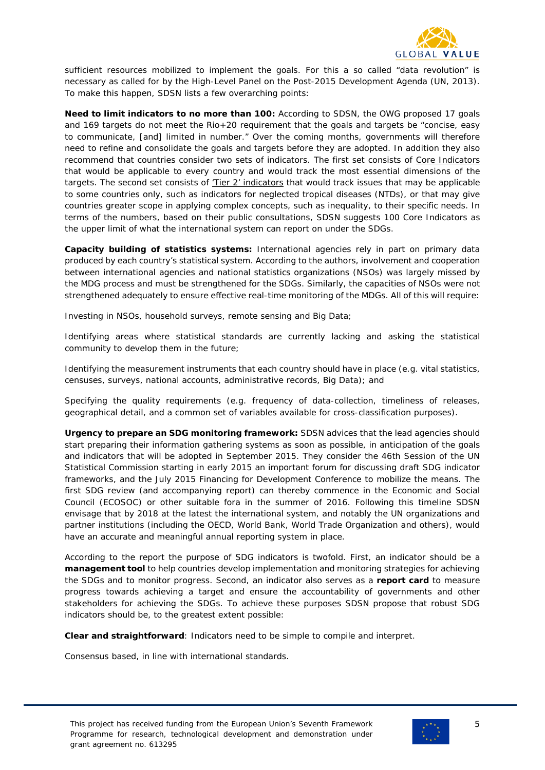

sufficient resources mobilized to implement the goals. For this a so called "data revolution" is necessary as called for by the High-Level Panel on the Post-2015 Development Agenda (UN, 2013). To make this happen, SDSN lists a few overarching points:

**Need to limit indicators to no more than 100:** According to SDSN, the OWG proposed 17 goals and 169 targets do not meet the Rio+20 requirement that the goals and targets be "concise, easy to communicate, [and] limited in number." Over the coming months, governments will therefore need to refine and consolidate the goals and targets before they are adopted. In addition they also recommend that countries consider two sets of indicators. The first set consists of Core Indicators that would be applicable to every country and would track the most essential dimensions of the targets. The second set consists of 'Tier 2' indicators that would track issues that may be applicable to some countries only, such as indicators for neglected tropical diseases (NTDs), or that may give countries greater scope in applying complex concepts, such as inequality, to their specific needs. In terms of the numbers, based on their public consultations, SDSN suggests 100 Core Indicators as the upper limit of what the international system can report on under the SDGs.

**Capacity building of statistics systems:** International agencies rely in part on primary data produced by each country's statistical system. According to the authors, involvement and cooperation between international agencies and national statistics organizations (NSOs) was largely missed by the MDG process and must be strengthened for the SDGs. Similarly, the capacities of NSOs were not strengthened adequately to ensure effective real-time monitoring of the MDGs. All of this will require:

Investing in NSOs, household surveys, remote sensing and Big Data;

Identifying areas where statistical standards are currently lacking and asking the statistical community to develop them in the future;

Identifying the measurement instruments that each country should have in place (e.g. vital statistics, censuses, surveys, national accounts, administrative records, Big Data); and

Specifying the quality requirements (e.g. frequency of data-collection, timeliness of releases, geographical detail, and a common set of variables available for cross-classification purposes).

**Urgency to prepare an SDG monitoring framework:** SDSN advices that the lead agencies should start preparing their information gathering systems as soon as possible, in anticipation of the goals and indicators that will be adopted in September 2015. They consider the 46th Session of the UN Statistical Commission starting in early 2015 an important forum for discussing draft SDG indicator frameworks, and the July 2015 Financing for Development Conference to mobilize the means. The first SDG review (and accompanying report) can thereby commence in the Economic and Social Council (ECOSOC) or other suitable fora in the summer of 2016. Following this timeline SDSN envisage that by 2018 at the latest the international system, and notably the UN organizations and partner institutions (including the OECD, World Bank, World Trade Organization and others), would have an accurate and meaningful annual reporting system in place.

According to the report the purpose of SDG indicators is twofold. First, an indicator should be a **management tool** to help countries develop implementation and monitoring strategies for achieving the SDGs and to monitor progress. Second, an indicator also serves as a **report card** to measure progress towards achieving a target and ensure the accountability of governments and other stakeholders for achieving the SDGs. To achieve these purposes SDSN propose that robust SDG indicators should be, to the greatest extent possible:

**Clear and straightforward**: Indicators need to be simple to compile and interpret.

Consensus based, in line with international standards.

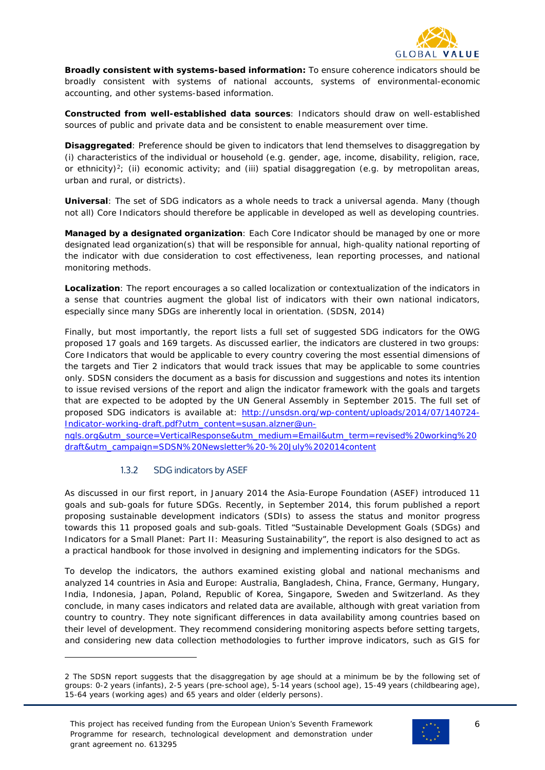

**Broadly consistent with systems-based information:** To ensure coherence indicators should be broadly consistent with systems of national accounts, systems of environmental-economic accounting, and other systems-based information.

**Constructed from well-established data sources**: Indicators should draw on well-established sources of public and private data and be consistent to enable measurement over time.

**Disaggregated**: Preference should be given to indicators that lend themselves to disaggregation by (i) characteristics of the individual or household (e.g. gender, age, income, disability, religion, race, or ethnicity)<sup>2</sup>; (ii) economic activity; and (iii) spatial disaggregation (e.g. by metropolitan areas, urban and rural, or districts).

**Universal**: The set of SDG indicators as a whole needs to track a universal agenda. Many (though not all) Core Indicators should therefore be applicable in developed as well as developing countries.

**Managed by a designated organization**: Each Core Indicator should be managed by one or more designated lead organization(s) that will be responsible for annual, high-quality national reporting of the indicator with due consideration to cost effectiveness, lean reporting processes, and national monitoring methods.

**Localization**: The report encourages a so called localization or contextualization of the indicators in a sense that countries augment the global list of indicators with their own national indicators, especially since many SDGs are inherently local in orientation. (SDSN, 2014)

Finally, but most importantly, the report lists a full set of suggested SDG indicators for the OWG proposed 17 goals and 169 targets. As discussed earlier, the indicators are clustered in two groups: Core Indicators that would be applicable to every country covering the most essential dimensions of the targets and Tier 2 indicators that would track issues that may be applicable to some countries only. SDSN considers the document as a basis for discussion and suggestions and notes its intention to issue revised versions of the report and align the indicator framework with the goals and targets that are expected to be adopted by the UN General Assembly in September 2015. The full set of proposed SDG indicators is available at: [http://unsdsn.org/wp-content/uploads/2014/07/140724-](http://unsdsn.org/wp-content/uploads/2014/07/140724-Indicator-working-draft.pdf?utm_content=susan.alzner@un-ngls.org&utm_source=VerticalResponse&utm_medium=Email&utm_term=revised%20working%20draft&utm_campaign=SDSN%20Newsletter%20-%20July%202014content) [Indicator-working-draft.pdf?utm\\_content=susan.alzner@un-](http://unsdsn.org/wp-content/uploads/2014/07/140724-Indicator-working-draft.pdf?utm_content=susan.alzner@un-ngls.org&utm_source=VerticalResponse&utm_medium=Email&utm_term=revised%20working%20draft&utm_campaign=SDSN%20Newsletter%20-%20July%202014content)

[ngls.org&utm\\_source=VerticalResponse&utm\\_medium=Email&utm\\_term=revised%20working%20](http://unsdsn.org/wp-content/uploads/2014/07/140724-Indicator-working-draft.pdf?utm_content=susan.alzner@un-ngls.org&utm_source=VerticalResponse&utm_medium=Email&utm_term=revised%20working%20draft&utm_campaign=SDSN%20Newsletter%20-%20July%202014content) [draft&utm\\_campaign=SDSN%20Newsletter%20-%20July%202014content](http://unsdsn.org/wp-content/uploads/2014/07/140724-Indicator-working-draft.pdf?utm_content=susan.alzner@un-ngls.org&utm_source=VerticalResponse&utm_medium=Email&utm_term=revised%20working%20draft&utm_campaign=SDSN%20Newsletter%20-%20July%202014content)

#### 1.3.2 SDG indicators by ASEF

i<br>I

<span id="page-5-0"></span>As discussed in our first report, in January 2014 the Asia-Europe Foundation (ASEF) introduced 11 goals and sub-goals for future SDGs. Recently, in September 2014, this forum published a report proposing sustainable development indicators (SDIs) to assess the status and monitor progress towards this 11 proposed goals and sub-goals. Titled "Sustainable Development Goals (SDGs) and Indicators for a Small Planet: Part II: Measuring Sustainability", the report is also designed to act as a practical handbook for those involved in designing and implementing indicators for the SDGs.

To develop the indicators, the authors examined existing global and national mechanisms and analyzed 14 countries in Asia and Europe: Australia, Bangladesh, China, France, Germany, Hungary, India, Indonesia, Japan, Poland, Republic of Korea, Singapore, Sweden and Switzerland. As they conclude, in many cases indicators and related data are available, although with great variation from country to country. They note significant differences in data availability among countries based on their level of development. They recommend considering monitoring aspects before setting targets, and considering new data collection methodologies to further improve indicators, such as GIS for



<span id="page-5-1"></span><sup>2</sup> The SDSN report suggests that the disaggregation by age should at a minimum be by the following set of groups: 0-2 years (infants), 2-5 years (pre-school age), 5-14 years (school age), 15-49 years (childbearing age), 15-64 years (working ages) and 65 years and older (elderly persons).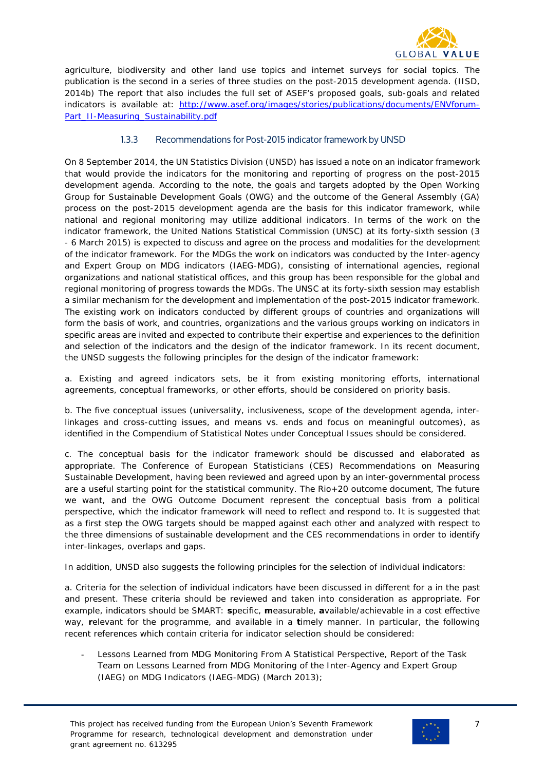

agriculture, biodiversity and other land use topics and internet surveys for social topics. The publication is the second in a series of three studies on the post-2015 development agenda. (IISD, 2014b) The report that also includes the full set of ASEF's proposed goals, sub-goals and related indicators is available at: [http://www.asef.org/images/stories/publications/documents/ENVforum-](http://www.asef.org/images/stories/publications/documents/ENVforum-Part_II-Measuring_Sustainability.pdf)[Part\\_II-Measuring\\_Sustainability.pdf](http://www.asef.org/images/stories/publications/documents/ENVforum-Part_II-Measuring_Sustainability.pdf)

#### <span id="page-6-0"></span>1.3.3 Recommendations for Post-2015 indicator framework by UNSD

On 8 September 2014, the UN Statistics Division (UNSD) has issued a note on an indicator framework that would provide the indicators for the monitoring and reporting of progress on the post-2015 development agenda. According to the note, the goals and targets adopted by the Open Working Group for Sustainable Development Goals (OWG) and the outcome of the General Assembly (GA) process on the post-2015 development agenda are the basis for this indicator framework, while national and regional monitoring may utilize additional indicators. In terms of the work on the indicator framework, the United Nations Statistical Commission (UNSC) at its forty-sixth session (3 - 6 March 2015) is expected to discuss and agree on the process and modalities for the development of the indicator framework. For the MDGs the work on indicators was conducted by the Inter-agency and Expert Group on MDG indicators (IAEG-MDG), consisting of international agencies, regional organizations and national statistical offices, and this group has been responsible for the global and regional monitoring of progress towards the MDGs. The UNSC at its forty-sixth session may establish a similar mechanism for the development and implementation of the post-2015 indicator framework. The existing work on indicators conducted by different groups of countries and organizations will form the basis of work, and countries, organizations and the various groups working on indicators in specific areas are invited and expected to contribute their expertise and experiences to the definition and selection of the indicators and the design of the indicator framework. In its recent document, the UNSD suggests the following principles for the design of the indicator framework:

a. Existing and agreed indicators sets, be it from existing monitoring efforts, international agreements, conceptual frameworks, or other efforts, should be considered on priority basis.

b. The five conceptual issues (universality, inclusiveness, scope of the development agenda, interlinkages and cross-cutting issues, and means vs. ends and focus on meaningful outcomes), as identified in the *Compendium of Statistical Notes* under Conceptual Issues should be considered.

c. The conceptual basis for the indicator framework should be discussed and elaborated as appropriate. The *Conference of European Statisticians (CES) Recommendations on Measuring Sustainable Development*, having been reviewed and agreed upon by an inter-governmental process are a useful starting point for the statistical community. The Rio+20 outcome document, *The future we want*, and the OWG *Outcome Document* represent the conceptual basis from a political perspective, which the indicator framework will need to reflect and respond to. It is suggested that as a first step the OWG targets should be mapped against each other and analyzed with respect to the three dimensions of sustainable development and the CES recommendations in order to identify inter-linkages, overlaps and gaps.

In addition, UNSD also suggests the following principles for the selection of individual indicators:

a. Criteria for the selection of individual indicators have been discussed in different for a in the past and present. These criteria should be reviewed and taken into consideration as appropriate. For example, indicators should be SMART: **s**pecific, **m**easurable, **a**vailable/achievable in a cost effective way, **r**elevant for the programme, and available in a **t**imely manner. In particular, the following recent references which contain criteria for indicator selection should be considered:

- *Lessons Learned from MDG Monitoring From A Statistical Perspective,* Report of the Task Team on Lessons Learned from MDG Monitoring of the Inter-Agency and Expert Group (IAEG) on MDG Indicators (IAEG-MDG) (March 2013);

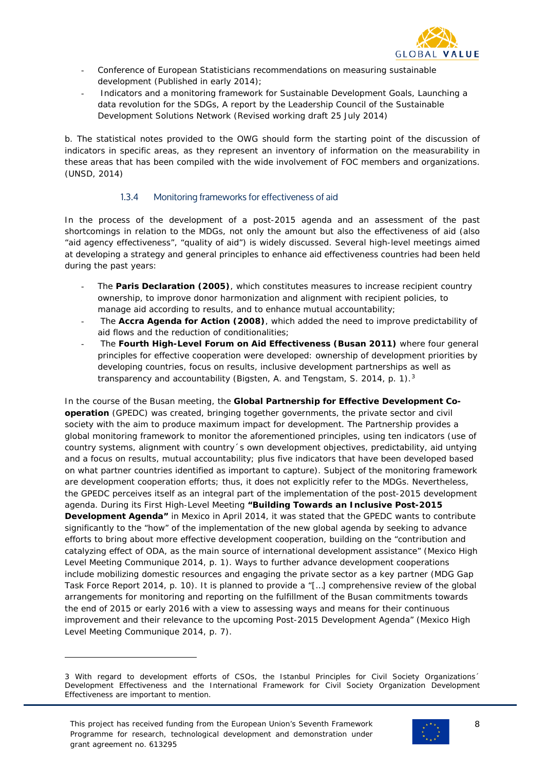

- Conference of European Statisticians recommendations on measuring sustainable development (Published in early 2014);
- *Indicators and a monitoring framework for Sustainable Development Goals, Launching a data revolution for the SDGs*, A report by the Leadership Council of the Sustainable Development Solutions Network (Revised working draft 25 July 2014)

b. The statistical notes provided to the OWG should form the starting point of the discussion of indicators in specific areas, as they represent an inventory of information on the measurability in these areas that has been compiled with the wide involvement of FOC members and organizations. (UNSD, 2014)

#### 1.3.4 Monitoring frameworks for effectiveness of aid

<span id="page-7-0"></span>In the process of the development of a post-2015 agenda and an assessment of the past shortcomings in relation to the MDGs, not only the amount but also the effectiveness of aid (also "aid agency effectiveness", "quality of aid") is widely discussed. Several high-level meetings aimed at developing a strategy and general principles to enhance aid effectiveness countries had been held during the past years:

- The **Paris Declaration (2005)**, which constitutes measures to increase recipient country ownership, to improve donor harmonization and alignment with recipient policies, to manage aid according to results, and to enhance mutual accountability;
- The **Accra Agenda for Action (2008)**, which added the need to improve predictability of aid flows and the reduction of conditionalities;
- The **Fourth High-Level Forum on Aid Effectiveness (Busan 2011)** where four general principles for effective cooperation were developed: ownership of development priorities by developing countries, focus on results, inclusive development partnerships as well as transparency and accountability (Bigsten, A. and Tengstam, S. 2014, p. 1).<sup>[3](#page-7-1)</sup>

In the course of the Busan meeting, the **Global Partnership for Effective Development Cooperation** (GPEDC) was created, bringing together governments, the private sector and civil society with the aim to produce maximum impact for development. The Partnership provides a global monitoring framework to monitor the aforementioned principles, using ten indicators (use of country systems, alignment with country´s own development objectives, predictability, aid untying and a focus on results, mutual accountability; plus five indicators that have been developed based on what partner countries identified as important to capture). Subject of the monitoring framework are development cooperation efforts; thus, it does not explicitly refer to the MDGs. Nevertheless, the GPEDC perceives itself as an integral part of the implementation of the post-2015 development agenda. During its First High-Level Meeting **"Building Towards an Inclusive Post-2015 Development Agenda"** in Mexico in April 2014, it was stated that the GPEDC wants to contribute significantly to the "how" of the implementation of the new global agenda by seeking to advance efforts to bring about more effective development cooperation, building on the "contribution and catalyzing effect of ODA, as the main source of international development assistance" (Mexico High Level Meeting Communique 2014, p. 1). Ways to further advance development cooperations include mobilizing domestic resources and engaging the private sector as a key partner (MDG Gap Task Force Report 2014, p. 10). It is planned to provide a "[…] comprehensive review of the global arrangements for monitoring and reporting on the fulfillment of the Busan commitments towards the end of 2015 or early 2016 with a view to assessing ways and means for their continuous improvement and their relevance to the upcoming Post-2015 Development Agenda" (Mexico High Level Meeting Communique 2014, p. 7).

i<br>I





<span id="page-7-1"></span><sup>3</sup> With regard to development efforts of CSOs, the Istanbul Principles for Civil Society Organizations´ Development Effectiveness and the International Framework for Civil Society Organization Development Effectiveness are important to mention.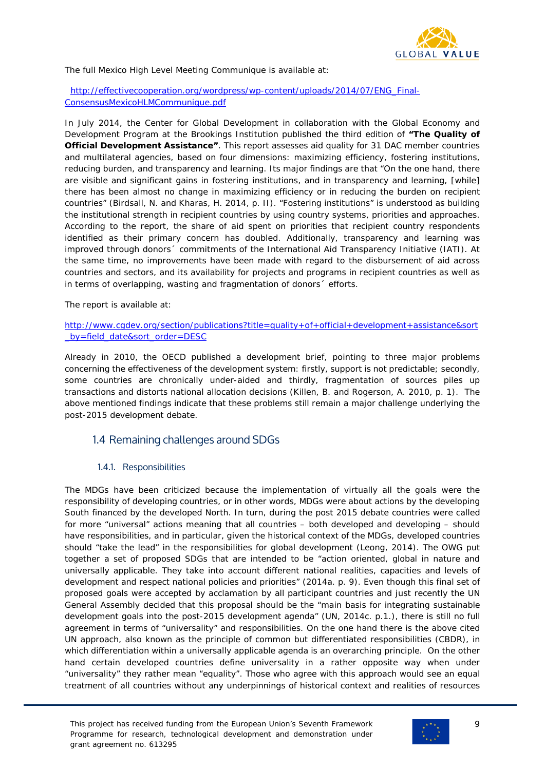

The full Mexico High Level Meeting Communique is available at:

 [http://effectivecooperation.org/wordpress/wp-content/uploads/2014/07/ENG\\_Final-](http://effectivecooperation.org/wordpress/wp-content/uploads/2014/07/ENG_Final-ConsensusMexicoHLMCommunique.pdf)[ConsensusMexicoHLMCommunique.pdf](http://effectivecooperation.org/wordpress/wp-content/uploads/2014/07/ENG_Final-ConsensusMexicoHLMCommunique.pdf)

In July 2014, the Center for Global Development in collaboration with the Global Economy and Development Program at the Brookings Institution published the third edition of **"The Quality of Official Development Assistance"**. This report assesses aid quality for 31 DAC member countries and multilateral agencies, based on four dimensions: maximizing efficiency, fostering institutions, reducing burden, and transparency and learning. Its major findings are that "On the one hand, there are visible and significant gains in fostering institutions, and in transparency and learning, [while] there has been almost no change in maximizing efficiency or in reducing the burden on recipient countries" (Birdsall, N. and Kharas, H. 2014, p. II). "Fostering institutions" is understood as building the institutional strength in recipient countries by using country systems, priorities and approaches. According to the report, the share of aid spent on priorities that recipient country respondents identified as their primary concern has doubled. Additionally, transparency and learning was improved through donors´ commitments of the International Aid Transparency Initiative (IATI). At the same time, no improvements have been made with regard to the disbursement of aid across countries and sectors, and its availability for projects and programs in recipient countries as well as in terms of overlapping, wasting and fragmentation of donors´ efforts.

The report is available at:

#### [http://www.cgdev.org/section/publications?title=quality+of+official+development+assistance&sort](http://www.cgdev.org/section/publications?title=quality+of+official+development+assistance&sort_by=field_date&sort_order=DESC) by=field\_date&sort\_order=DESC

Already in 2010, the OECD published a development brief, pointing to three major problems concerning the effectiveness of the development system: firstly, support is not predictable; secondly, some countries are chronically under-aided and thirdly, fragmentation of sources piles up transactions and distorts national allocation decisions (Killen, B. and Rogerson, A. 2010, p. 1). The above mentioned findings indicate that these problems still remain a major challenge underlying the post-2015 development debate.

## <span id="page-8-0"></span>1.4 Remaining challenges around SDGs

#### <span id="page-8-1"></span>1.4.1. Responsibilities

The MDGs have been criticized because the implementation of virtually all the goals were the responsibility of developing countries, or in other words, MDGs were about actions by the developing South financed by the developed North. In turn, during the post 2015 debate countries were called for more "universal" actions meaning that all countries – both developed and developing – should have responsibilities, and in particular, given the historical context of the MDGs, developed countries should "take the lead" in the responsibilities for global development (Leong, 2014). The OWG put together a set of proposed SDGs that are intended to be "action oriented, global in nature and universally applicable. They take into account different national realities, capacities and levels of development and respect national policies and priorities" (2014a. p. 9). Even though this final set of proposed goals were accepted by acclamation by all participant countries and just recently the UN General Assembly decided that this proposal should be the "main basis for integrating sustainable development goals into the post-2015 development agenda" (UN, 2014c. p.1.), there is still no full agreement in terms of "universality" and responsibilities. On the one hand there is the above cited UN approach, also known as the principle of common but differentiated responsibilities (CBDR), in which differentiation within a universally applicable agenda is an overarching principle. On the other hand certain developed countries define universality in a rather opposite way when under "universality" they rather mean "equality". Those who agree with this approach would see an equal treatment of all countries without any underpinnings of historical context and realities of resources



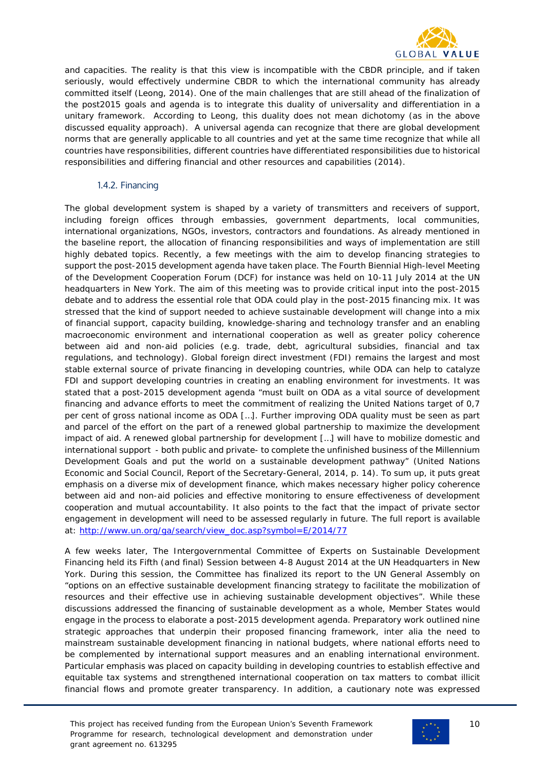

and capacities. The reality is that this view is incompatible with the CBDR principle, and if taken seriously, would effectively undermine CBDR to which the international community has already committed itself (Leong, 2014). One of the main challenges that are still ahead of the finalization of the post2015 goals and agenda is to integrate this duality of universality and differentiation in a unitary framework. According to Leong, this duality does not mean dichotomy (as in the above discussed equality approach). A universal agenda can recognize that there are global development norms that are generally applicable to all countries and yet at the same time recognize that while all countries have responsibilities, different countries have differentiated responsibilities due to historical responsibilities and differing financial and other resources and capabilities (2014).

#### 1.4.2. Financing

<span id="page-9-0"></span>The global development system is shaped by a variety of transmitters and receivers of support, including foreign offices through embassies, government departments, local communities, international organizations, NGOs, investors, contractors and foundations. As already mentioned in the baseline report, the allocation of financing responsibilities and ways of implementation are still highly debated topics. Recently, a few meetings with the aim to develop financing strategies to support the post-2015 development agenda have taken place. The Fourth Biennial High-level Meeting of the Development Cooperation Forum (DCF) for instance was held on 10-11 July 2014 at the UN headquarters in New York. The aim of this meeting was to provide critical input into the post-2015 debate and to address the essential role that ODA could play in the post-2015 financing mix. It was stressed that the kind of support needed to achieve sustainable development will change into a mix of financial support, capacity building, knowledge-sharing and technology transfer and an enabling macroeconomic environment and international cooperation as well as greater policy coherence between aid and non-aid policies (e.g. trade, debt, agricultural subsidies, financial and tax regulations, and technology). Global foreign direct investment (FDI) remains the largest and most stable external source of private financing in developing countries, while ODA can help to catalyze FDI and support developing countries in creating an enabling environment for investments. It was stated that a post-2015 development agenda "must built on ODA as a vital source of development financing and advance efforts to meet the commitment of realizing the United Nations target of 0,7 per cent of gross national income as ODA […]. Further improving ODA quality must be seen as part and parcel of the effort on the part of a renewed global partnership to maximize the development impact of aid. A renewed global partnership for development […] will have to mobilize domestic and international support - both public and private- to complete the unfinished business of the Millennium Development Goals and put the world on a sustainable development pathway" (United Nations Economic and Social Council, Report of the Secretary-General, 2014, p. 14). To sum up, it puts great emphasis on a diverse mix of development finance, which makes necessary higher policy coherence between aid and non-aid policies and effective monitoring to ensure effectiveness of development cooperation and mutual accountability. It also points to the fact that the impact of private sector engagement in development will need to be assessed regularly in future. The full report is available at: [http://www.un.org/ga/search/view\\_doc.asp?symbol=E/2014/77](http://www.un.org/ga/search/view_doc.asp?symbol=E/2014/77)

A few weeks later, The Intergovernmental Committee of Experts on Sustainable Development Financing held its Fifth (and final) Session between 4-8 August 2014 at the UN Headquarters in New York. During this session, the Committee has finalized its report to the UN General Assembly on "options on an effective sustainable development financing strategy to facilitate the mobilization of resources and their effective use in achieving sustainable development objectives". While these discussions addressed the financing of sustainable development as a whole, Member States would engage in the process to elaborate a post-2015 development agenda. Preparatory work outlined nine strategic approaches that underpin their proposed financing framework, inter alia the need to mainstream sustainable development financing in national budgets, where national efforts need to be complemented by international support measures and an enabling international environment. Particular emphasis was placed on capacity building in developing countries to establish effective and equitable tax systems and strengthened international cooperation on tax matters to combat illicit financial flows and promote greater transparency. In addition, a cautionary note was expressed

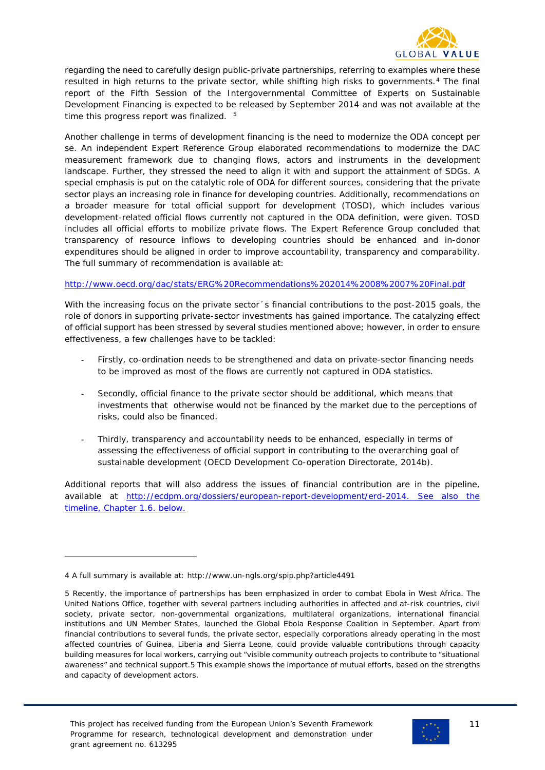

regarding the need to carefully design public-private partnerships, referring to examples where these resulted in high returns to the private sector, while shifting high risks to governments.<sup>[4](#page-10-0)</sup> The final report of the Fifth Session of the Intergovernmental Committee of Experts on Sustainable Development Financing is expected to be released by September 2014 and was not available at the time this progress report was finalized.  $5$ 

Another challenge in terms of development financing is the need to modernize the ODA concept per se. An independent Expert Reference Group elaborated recommendations to modernize the DAC measurement framework due to changing flows, actors and instruments in the development landscape. Further, they stressed the need to align it with and support the attainment of SDGs. A special emphasis is put on the catalytic role of ODA for different sources, considering that the private sector plays an increasing role in finance for developing countries. Additionally, recommendations on a broader measure for total official support for development (TOSD), which includes various development-related official flows currently not captured in the ODA definition, were given. TOSD includes all official efforts to mobilize private flows. The Expert Reference Group concluded that transparency of resource inflows to developing countries should be enhanced and in-donor expenditures should be aligned in order to improve accountability, transparency and comparability. The full summary of recommendation is available at:

#### <http://www.oecd.org/dac/stats/ERG%20Recommendations%202014%2008%2007%20Final.pdf>

With the increasing focus on the private sector 's financial contributions to the post-2015 goals, the role of donors in supporting private-sector investments has gained importance. The catalyzing effect of official support has been stressed by several studies mentioned above; however, in order to ensure effectiveness, a few challenges have to be tackled:

- Firstly, co-ordination needs to be strengthened and data on private-sector financing needs to be improved as most of the flows are currently not captured in ODA statistics.
- Secondly, official finance to the private sector should be additional, which means that investments that otherwise would not be financed by the market due to the perceptions of risks, could also be financed.
- Thirdly, transparency and accountability needs to be enhanced, especially in terms of assessing the effectiveness of official support in contributing to the overarching goal of sustainable development (OECD Development Co-operation Directorate, 2014b).

Additional reports that will also address the issues of financial contribution are in the pipeline, available at [http://ecdpm.org/dossiers/european-report-development/erd-2014.](http://ecdpm.org/dossiers/european-report-development/erd-2014) See also the timeline, Chapter 1.6. below.

i<br>I



<span id="page-10-0"></span><sup>4</sup> A full summary is available at:<http://www.un-ngls.org/spip.php?article4491>

<span id="page-10-1"></span><sup>5</sup> Recently, the importance of partnerships has been emphasized in order to combat Ebola in West Africa. The United Nations Office, together with several partners including authorities in affected and at-risk countries, civil society, private sector, non-governmental organizations, multilateral organizations, international financial institutions and UN Member States, launched the Global Ebola Response Coalition in September. Apart from financial contributions to several funds, the private sector, especially corporations already operating in the most affected countries of Guinea, Liberia and Sierra Leone, could provide valuable contributions through capacity building measures for local workers, carrying out "visible community outreach projects to contribute to "situational awareness" and technical support.5 This example shows the importance of mutual efforts, based on the strengths and capacity of development actors.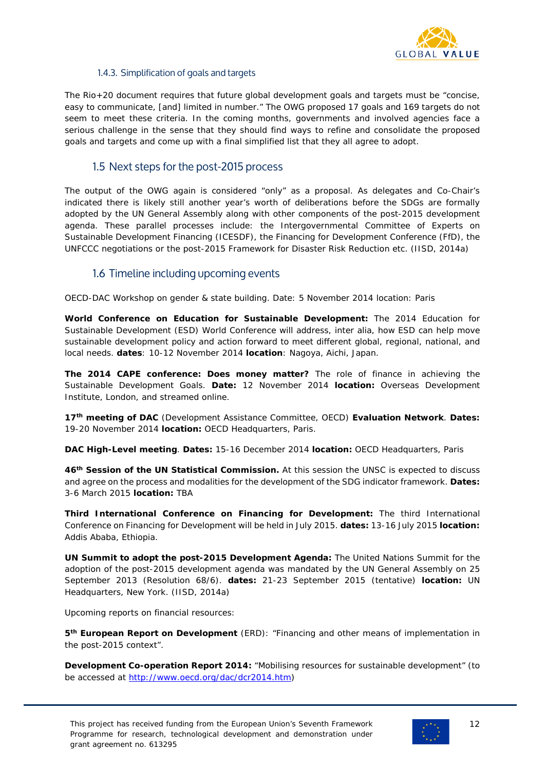

#### 1.4.3. Simplification of goals and targets

<span id="page-11-0"></span>The Rio+20 document requires that future global development goals and targets must be "concise, easy to communicate, [and] limited in number." The OWG proposed 17 goals and 169 targets do not seem to meet these criteria. In the coming months, governments and involved agencies face a serious challenge in the sense that they should find ways to refine and consolidate the proposed goals and targets and come up with a final simplified list that they all agree to adopt.

## 1.5 Next steps for the post-2015 process

<span id="page-11-1"></span>The output of the OWG again is considered "only" as a proposal. As delegates and Co-Chair's indicated there is likely still another year's worth of deliberations before the SDGs are formally adopted by the UN General Assembly along with other components of the post-2015 development agenda. These parallel processes include: the Intergovernmental Committee of Experts on Sustainable Development Financing (ICESDF), the Financing for Development Conference (FfD), the UNFCCC negotiations or the post-2015 Framework for Disaster Risk Reduction etc. (IISD, 2014a)

### 1.6 Timeline including upcoming events

<span id="page-11-2"></span>OECD-DAC Workshop on gender & state building. Date: 5 November 2014 location: Paris

**World Conference on Education for Sustainable Development:** The 2014 Education for Sustainable Development (ESD) World Conference will address, *inter alia*, how ESD can help move sustainable development policy and action forward to meet different global, regional, national, and local needs. **dates**: 10-12 November 2014 **location**: Nagoya, Aichi, Japan.

**The 2014 CAPE conference: Does money matter?** The role of finance in achieving the Sustainable Development Goals. **Date:** 12 November 2014 **location:** Overseas Development Institute, London, and streamed online.

**17th meeting of DAC** (Development Assistance Committee, OECD) **Evaluation Network**. **Dates:** 19-20 November 2014 **location:** OECD Headquarters, Paris.

**DAC High-Level meeting**. **Dates:** 15-16 December 2014 **location:** OECD Headquarters, Paris

**46th Session of the UN Statistical Commission.** At this session the UNSC is expected to discuss and agree on the process and modalities for the development of the SDG indicator framework. **Dates:**  3-6 March 2015 **location:** TBA

**Third International Conference on Financing for Development:** The third International Conference on Financing for Development will be held in July 2015. **dates:** 13-16 July 2015 **location:**  Addis Ababa, Ethiopia.

**UN Summit to adopt the post-2015 Development Agenda:** The United Nations Summit for the adoption of the post-2015 development agenda was mandated by the UN General Assembly on 25 September 2013 (Resolution 68/6). **dates:** 21-23 September 2015 (tentative) **location:** UN Headquarters, New York. (IISD, 2014a)

Upcoming reports on financial resources:

**5th European Report on Development** (ERD): "Financing and other means of implementation in the post-2015 context".

**Development Co-operation Report 2014:** "Mobilising resources for sustainable development" (to be accessed at [http://www.oecd.org/dac/dcr2014.htm\)](http://www.oecd.org/dac/dcr2014.htm)

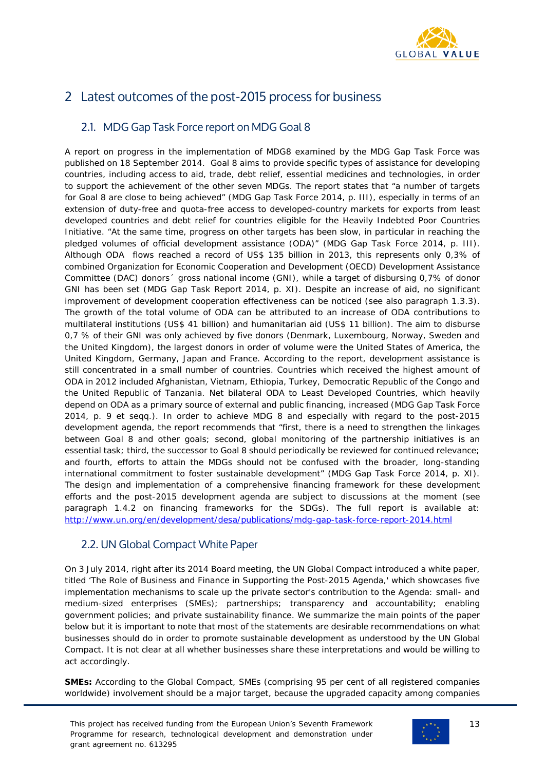

# <span id="page-12-0"></span>2 Latest outcomes of the post-2015 process for business

# <span id="page-12-1"></span>2.1. MDG Gap Task Force report on MDG Goal 8

A report on progress in the implementation of MDG8 examined by the MDG Gap Task Force was published on 18 September 2014. Goal 8 aims to provide specific types of assistance for developing countries, including access to aid, trade, debt relief, essential medicines and technologies, in order to support the achievement of the other seven MDGs. The report states that "a number of targets for Goal 8 are close to being achieved" (MDG Gap Task Force 2014, p. III), especially in terms of an extension of duty-free and quota-free access to developed-country markets for exports from least developed countries and debt relief for countries eligible for the Heavily Indebted Poor Countries Initiative. "At the same time, progress on other targets has been slow, in particular in reaching the pledged volumes of official development assistance (ODA)" (MDG Gap Task Force 2014, p. III). Although ODA flows reached a record of US\$ 135 billion in 2013, this represents only 0,3% of combined Organization for Economic Cooperation and Development (OECD) Development Assistance Committee (DAC) donors´ gross national income (GNI), while a target of disbursing 0,7% of donor GNI has been set (MDG Gap Task Report 2014, p. XI). Despite an increase of aid, no significant improvement of development cooperation effectiveness can be noticed (see also paragraph 1.3.3). The growth of the total volume of ODA can be attributed to an increase of ODA contributions to multilateral institutions (US\$ 41 billion) and humanitarian aid (US\$ 11 billion). The aim to disburse 0,7 % of their GNI was only achieved by five donors (Denmark, Luxembourg, Norway, Sweden and the United Kingdom), the largest donors in order of volume were the United States of America, the United Kingdom, Germany, Japan and France. According to the report, development assistance is still concentrated in a small number of countries. Countries which received the highest amount of ODA in 2012 included Afghanistan, Vietnam, Ethiopia, Turkey, Democratic Republic of the Congo and the United Republic of Tanzania. Net bilateral ODA to Least Developed Countries, which heavily depend on ODA as a primary source of external and public financing, increased (MDG Gap Task Force 2014, p. 9 et seqq.). In order to achieve MDG 8 and especially with regard to the post-2015 development agenda, the report recommends that "first, there is a need to strengthen the linkages between Goal 8 and other goals; second, global monitoring of the partnership initiatives is an essential task; third, the successor to Goal 8 should periodically be reviewed for continued relevance; and fourth, efforts to attain the MDGs should not be confused with the broader, long-standing international commitment to foster sustainable development" (MDG Gap Task Force 2014, p. XI). The design and implementation of a comprehensive financing framework for these development efforts and the post-2015 development agenda are subject to discussions at the moment (see paragraph 1.4.2 on financing frameworks for the SDGs). The full report is available at: <http://www.un.org/en/development/desa/publications/mdg-gap-task-force-report-2014.html>

# <span id="page-12-2"></span>2.2. UN Global Compact White Paper

On 3 July 2014, right after its 2014 Board meeting, the UN Global Compact introduced a white paper, titled 'The Role of Business and Finance in Supporting the Post-2015 Agenda,' which showcases five implementation mechanisms to scale up the private sector's contribution to the Agenda: small- and medium-sized enterprises (SMEs); partnerships; transparency and accountability; enabling government policies; and private sustainability finance. *We summarize the main points of the paper below but it is important to note that most of the statements are desirable recommendations on what businesses should do in order to promote sustainable development as understood by the UN Global Compact. It is not clear at all whether businesses share these interpretations and would be willing to act accordingly.*

**SMEs:** According to the Global Compact, SMEs (comprising 95 per cent of all registered companies worldwide) involvement should be a major target, because the upgraded capacity among companies

This project has received funding from the European Union's Seventh Framework Programme for research, technological development and demonstration under grant agreement no. 613295

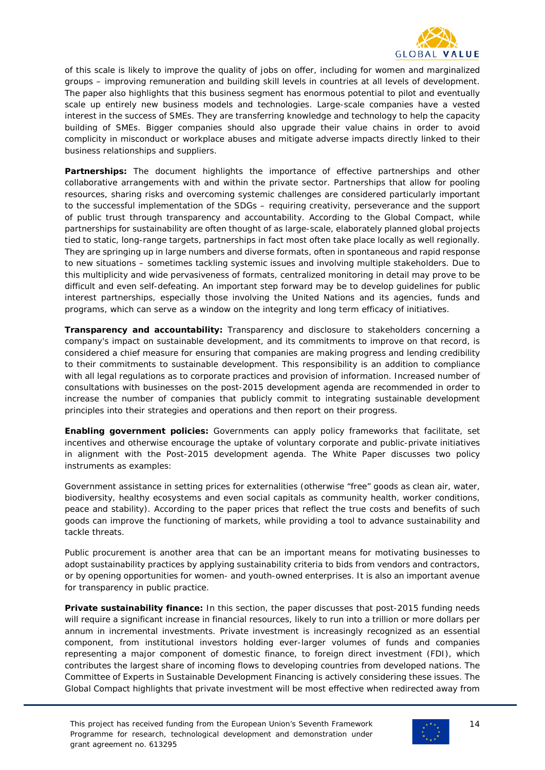

of this scale is likely to improve the quality of jobs on offer, including for women and marginalized groups – improving remuneration and building skill levels in countries at all levels of development. The paper also highlights that this business segment has enormous potential to pilot and eventually scale up entirely new business models and technologies. Large-scale companies have a vested interest in the success of SMEs. They are transferring knowledge and technology to help the capacity building of SMEs. Bigger companies should also upgrade their value chains in order to avoid complicity in misconduct or workplace abuses and mitigate adverse impacts directly linked to their business relationships and suppliers.

**Partnerships:** The document highlights the importance of effective partnerships and other collaborative arrangements with and within the private sector. Partnerships that allow for pooling resources, sharing risks and overcoming systemic challenges are considered particularly important to the successful implementation of the SDGs – requiring creativity, perseverance and the support of public trust through transparency and accountability. According to the Global Compact, while partnerships for sustainability are often thought of as large-scale, elaborately planned global projects tied to static, long-range targets, partnerships in fact most often take place locally as well regionally. They are springing up in large numbers and diverse formats, often in spontaneous and rapid response to new situations – sometimes tackling systemic issues and involving multiple stakeholders. Due to this multiplicity and wide pervasiveness of formats, centralized monitoring in detail may prove to be difficult and even self-defeating. An important step forward may be to develop guidelines for public interest partnerships, especially those involving the United Nations and its agencies, funds and programs, which can serve as a window on the integrity and long term efficacy of initiatives.

**Transparency and accountability:** Transparency and disclosure to stakeholders concerning a company's impact on sustainable development, and its commitments to improve on that record, is considered a chief measure for ensuring that companies are making progress and lending credibility to their commitments to sustainable development. This responsibility is an addition to compliance with all legal regulations as to corporate practices and provision of information. Increased number of consultations with businesses on the post-2015 development agenda are recommended in order to increase the number of companies that publicly commit to integrating sustainable development principles into their strategies and operations and then report on their progress.

**Enabling government policies:** Governments can apply policy frameworks that facilitate, set incentives and otherwise encourage the uptake of voluntary corporate and public-private initiatives in alignment with the Post-2015 development agenda. The White Paper discusses two policy instruments as examples:

*Government assistance in setting prices for externalities* (otherwise "free" goods as clean air, water, biodiversity, healthy ecosystems and even social capitals as community health, worker conditions, peace and stability). According to the paper prices that reflect the true costs and benefits of such goods can improve the functioning of markets, while providing a tool to advance sustainability and tackle threats.

*Public procurement* is another area that can be an important means for motivating businesses to adopt sustainability practices by applying sustainability criteria to bids from vendors and contractors, or by opening opportunities for women- and youth-owned enterprises. It is also an important avenue for transparency in public practice.

**Private sustainability finance:** In this section, the paper discusses that post-2015 funding needs will require a significant increase in financial resources, likely to run into a trillion or more dollars per annum in incremental investments. Private investment is increasingly recognized as an essential component, from institutional investors holding ever-larger volumes of funds and companies representing a major component of domestic finance, to foreign direct investment (FDI), which contributes the largest share of incoming flows to developing countries from developed nations. The Committee of Experts in Sustainable Development Financing is actively considering these issues. The Global Compact highlights that private investment will be most effective when redirected away from



14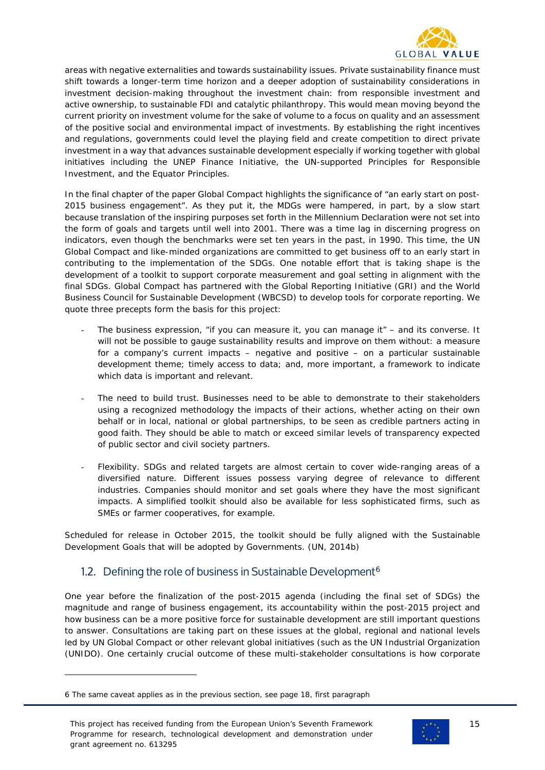

areas with negative externalities and towards sustainability issues. Private sustainability finance must shift towards a longer-term time horizon and a deeper adoption of sustainability considerations in investment decision-making throughout the investment chain: from responsible investment and active ownership, to sustainable FDI and catalytic philanthropy. This would mean moving beyond the current priority on investment volume for the sake of volume to a focus on quality and an assessment of the positive social and environmental impact of investments. By establishing the right incentives and regulations, governments could level the playing field and create competition to direct private investment in a way that advances sustainable development especially if working together with global initiatives including the UNEP Finance Initiative, the UN-supported Principles for Responsible Investment, and the Equator Principles.

In the final chapter of the paper Global Compact highlights the significance of "an early start on post-2015 business engagement". As they put it, the MDGs were hampered, in part, by a slow start because translation of the inspiring purposes set forth in the Millennium Declaration were not set into the form of goals and targets until well into 2001. There was a time lag in discerning progress on indicators, even though the benchmarks were set ten years in the past, in 1990. This time, the UN Global Compact and like-minded organizations are committed to get business off to an early start in contributing to the implementation of the SDGs. One notable effort that is taking shape is the development of a toolkit to support corporate measurement and goal setting in alignment with the final SDGs. Global Compact has partnered with the Global Reporting Initiative (GRI) and the World Business Council for Sustainable Development (WBCSD) to develop tools for corporate reporting. We quote three precepts form the basis for this project:

- The business expression, "if you can measure it, you can manage it" and its converse. It will not be possible to gauge sustainability results and improve on them without: a measure for a company's current impacts – negative and positive – on a particular sustainable development theme; timely access to data; and, more important, a framework to indicate which data is important and relevant.
- The need to build trust. Businesses need to be able to demonstrate to their stakeholders using a recognized methodology the impacts of their actions, whether acting on their own behalf or in local, national or global partnerships, to be seen as credible partners acting in good faith. They should be able to match or exceed similar levels of transparency expected of public sector and civil society partners.
- Flexibility. SDGs and related targets are almost certain to cover wide-ranging areas of a diversified nature. Different issues possess varying degree of relevance to different industries. Companies should monitor and set goals where they have the most significant impacts. A simplified toolkit should also be available for less sophisticated firms, such as SMEs or farmer cooperatives, for example.

Scheduled for release in October 2015, the toolkit should be fully aligned with the Sustainable Development Goals that will be adopted by Governments. (UN, 2014b)

# <span id="page-14-0"></span>1.2. Defining the role of business in Sustainable Development<sup>[6](#page-14-1)</sup>

One year before the finalization of the post-2015 agenda (including the final set of SDGs) the magnitude and range of business engagement, its accountability within the post-2015 project and how business can be a more positive force for sustainable development are still important questions to answer. Consultations are taking part on these issues at the global, regional and national levels led by UN Global Compact or other relevant global initiatives (such as the UN Industrial Organization (UNIDO). One certainly crucial outcome of these multi-stakeholder consultations is how corporate

i<br>I

This project has received funding from the European Union's Seventh Framework Programme for research, technological development and demonstration under grant agreement no. 613295



<span id="page-14-1"></span><sup>6</sup> The same caveat applies as in the previous section, see page 18, first paragraph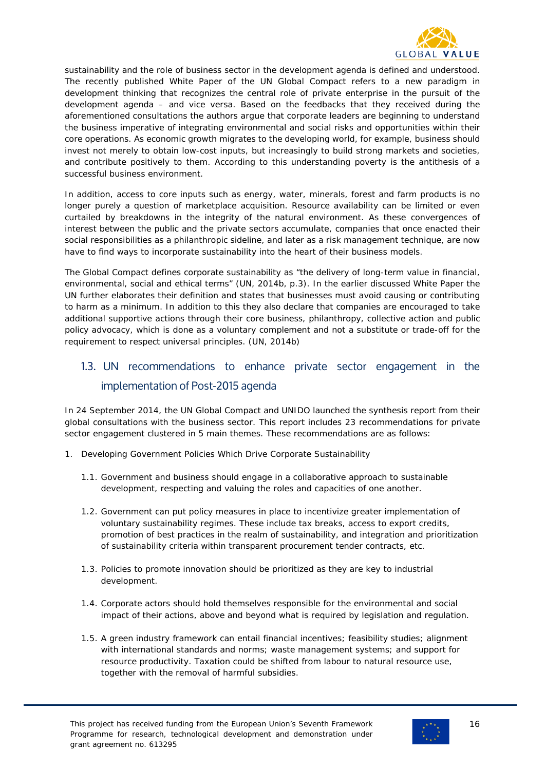

sustainability and the role of business sector in the development agenda is defined and understood. The recently published White Paper of the UN Global Compact refers to a new paradigm in development thinking that recognizes the central role of private enterprise in the pursuit of the development agenda – and vice versa. Based on the feedbacks that they received during the aforementioned consultations the authors argue that corporate leaders are beginning to understand the business imperative of integrating environmental and social risks and opportunities within their core operations. As economic growth migrates to the developing world, for example, business should invest not merely to obtain low-cost inputs, but increasingly to build strong markets and societies, and contribute positively to them. According to this understanding poverty is the antithesis of a successful business environment.

In addition, access to core inputs such as energy, water, minerals, forest and farm products is no longer purely a question of marketplace acquisition. Resource availability can be limited or even curtailed by breakdowns in the integrity of the natural environment. As these convergences of interest between the public and the private sectors accumulate, companies that once enacted their social responsibilities as a philanthropic sideline, and later as a risk management technique, are now have to find ways to incorporate sustainability into the heart of their business models.

The Global Compact defines corporate sustainability as "the delivery of long-term value in financial, environmental, social and ethical terms" (UN, 2014b, p.3). In the earlier discussed White Paper the UN further elaborates their definition and states that businesses must avoid causing or contributing to harm as a minimum. In addition to this they also declare that companies are encouraged to take additional supportive actions through their core business, philanthropy, collective action and public policy advocacy, which is done as a voluntary complement and not a substitute or trade-off for the requirement to respect universal principles. (UN, 2014b)

# <span id="page-15-0"></span>1.3. UN recommendations to enhance private sector engagement in the implementation of Post-2015 agenda

In 24 September 2014, the UN Global Compact and UNIDO launched the synthesis report from their global consultations with the business sector. This report includes 23 recommendations for private sector engagement clustered in 5 main themes. These recommendations are as follows:

- 1. Developing Government Policies Which Drive Corporate Sustainability
	- 1.1. Government and business should engage in a collaborative approach to sustainable development, respecting and valuing the roles and capacities of one another.
	- 1.2. Government can put policy measures in place to incentivize greater implementation of voluntary sustainability regimes. These include tax breaks, access to export credits, promotion of best practices in the realm of sustainability, and integration and prioritization of sustainability criteria within transparent procurement tender contracts, etc.
	- 1.3. Policies to promote innovation should be prioritized as they are key to industrial development.
	- 1.4. Corporate actors should hold themselves responsible for the environmental and social impact of their actions, above and beyond what is required by legislation and regulation.
	- 1.5. A green industry framework can entail financial incentives; feasibility studies; alignment with international standards and norms; waste management systems; and support for resource productivity. Taxation could be shifted from labour to natural resource use, together with the removal of harmful subsidies.

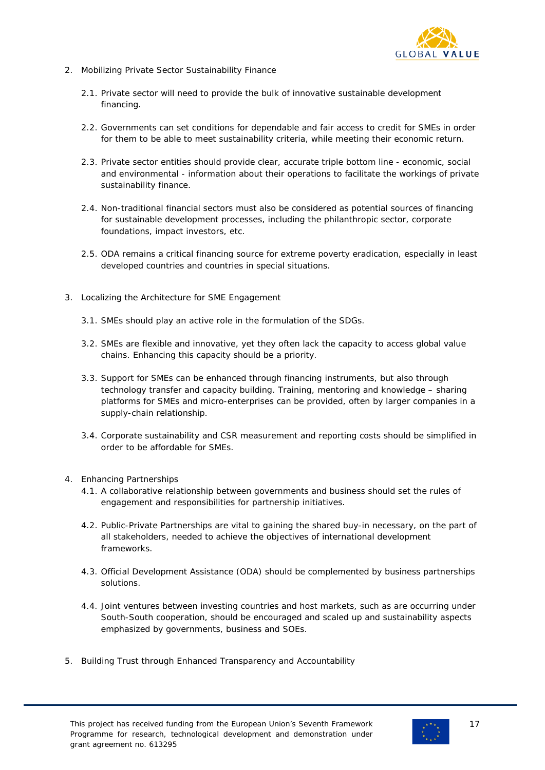

- 2. Mobilizing Private Sector Sustainability Finance
	- 2.1. Private sector will need to provide the bulk of innovative sustainable development financing.
	- 2.2. Governments can set conditions for dependable and fair access to credit for SMEs in order for them to be able to meet sustainability criteria, while meeting their economic return.
	- 2.3. Private sector entities should provide clear, accurate triple bottom line economic, social and environmental - information about their operations to facilitate the workings of private sustainability finance.
	- 2.4. Non-traditional financial sectors must also be considered as potential sources of financing for sustainable development processes, including the philanthropic sector, corporate foundations, impact investors, etc.
	- 2.5. ODA remains a critical financing source for extreme poverty eradication, especially in least developed countries and countries in special situations.
- 3. Localizing the Architecture for SME Engagement
	- 3.1. SMEs should play an active role in the formulation of the SDGs.
	- 3.2. SMEs are flexible and innovative, yet they often lack the capacity to access global value chains. Enhancing this capacity should be a priority.
	- 3.3. Support for SMEs can be enhanced through financing instruments, but also through technology transfer and capacity building. Training, mentoring and knowledge – sharing platforms for SMEs and micro-enterprises can be provided, often by larger companies in a supply-chain relationship.
	- 3.4. Corporate sustainability and CSR measurement and reporting costs should be simplified in order to be affordable for SMEs.
- 4. Enhancing Partnerships
	- 4.1. A collaborative relationship between governments and business should set the rules of engagement and responsibilities for partnership initiatives.
	- 4.2. Public-Private Partnerships are vital to gaining the shared buy-in necessary, on the part of all stakeholders, needed to achieve the objectives of international development frameworks.
	- 4.3. Official Development Assistance (ODA) should be complemented by business partnerships solutions.
	- 4.4. Joint ventures between investing countries and host markets, such as are occurring under South-South cooperation, should be encouraged and scaled up and sustainability aspects emphasized by governments, business and SOEs.
- 5. Building Trust through Enhanced Transparency and Accountability

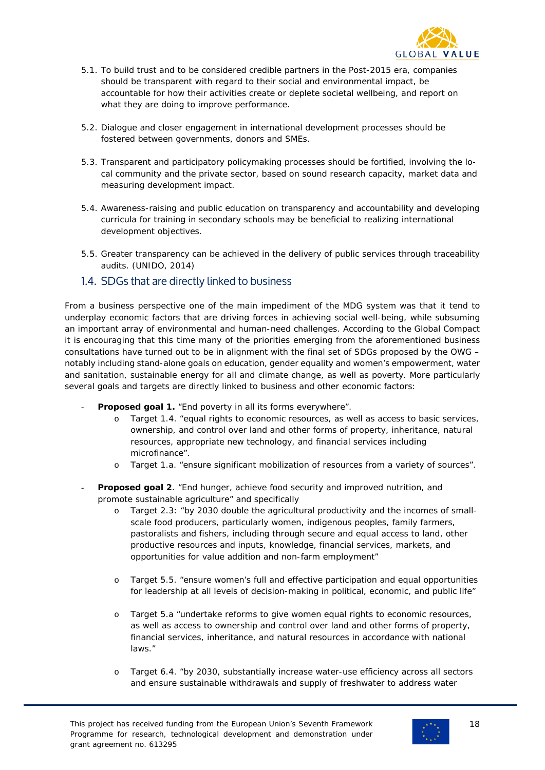

- 5.1. To build trust and to be considered credible partners in the Post-2015 era, companies should be transparent with regard to their social and environmental impact, be accountable for how their activities create or deplete societal wellbeing, and report on what they are doing to improve performance.
- 5.2. Dialogue and closer engagement in international development processes should be fostered between governments, donors and SMEs.
- 5.3. Transparent and participatory policymaking processes should be fortified, involving the local community and the private sector, based on sound research capacity, market data and measuring development impact.
- 5.4. Awareness-raising and public education on transparency and accountability and developing curricula for training in secondary schools may be beneficial to realizing international development objectives.
- 5.5. Greater transparency can be achieved in the delivery of public services through traceability audits. (UNIDO, 2014)
- <span id="page-17-0"></span>1.4. SDGs that are directly linked to business

From a business perspective one of the main impediment of the MDG system was that it tend to underplay economic factors that are driving forces in achieving social well-being, while subsuming an important array of environmental and human-need challenges. According to the Global Compact it is encouraging that this time many of the priorities emerging from the aforementioned business consultations have turned out to be in alignment with the final set of SDGs proposed by the OWG – notably including stand-alone goals on education, gender equality and women's empowerment, water and sanitation, sustainable energy for all and climate change, as well as poverty. More particularly several goals and targets are directly linked to business and other economic factors:

- Proposed goal 1. "End poverty in all its forms everywhere".
	- o Target 1.4. "equal rights to economic resources, as well as access to basic services, ownership, and control over land and other forms of property, inheritance, natural resources, appropriate new technology, and financial services including microfinance".
	- o Target 1.a. "ensure significant mobilization of resources from a variety of sources".
- **Proposed goal 2.** "End hunger, achieve food security and improved nutrition, and promote sustainable agriculture" and specifically
	- o Target 2.3: "by 2030 double the agricultural productivity and the incomes of smallscale food producers, particularly women, indigenous peoples, family farmers, pastoralists and fishers, including through secure and equal access to land, other productive resources and inputs, knowledge, financial services, markets, and opportunities for value addition and non-farm employment"
	- o Target 5.5. "ensure women's full and effective participation and equal opportunities for leadership at all levels of decision-making in political, economic, and public life"
	- o Target 5.a "undertake reforms to give women equal rights to economic resources, as well as access to ownership and control over land and other forms of property, financial services, inheritance, and natural resources in accordance with national laws."
	- o Target 6.4. "by 2030, substantially increase water-use efficiency across all sectors and ensure sustainable withdrawals and supply of freshwater to address water

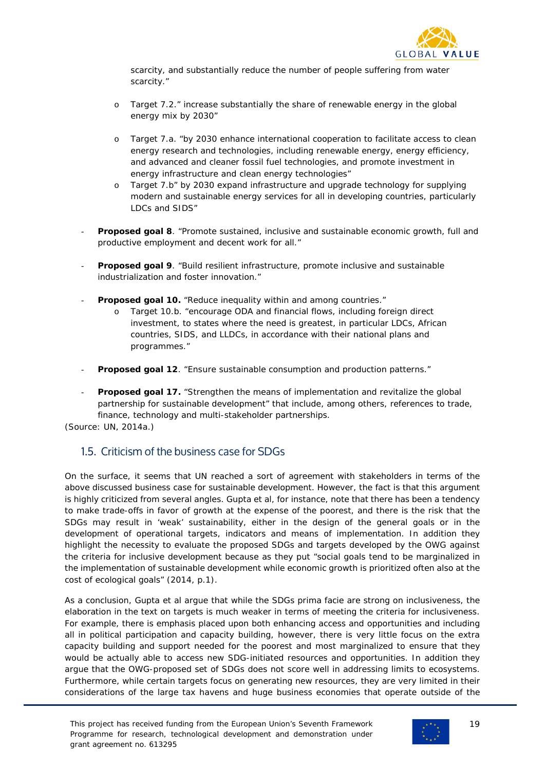

scarcity, and substantially reduce the number of people suffering from water scarcity."

- o Target 7.2." increase substantially the share of renewable energy in the global energy mix by 2030"
- o Target 7.a. "by 2030 enhance international cooperation to facilitate access to clean energy research and technologies, including renewable energy, energy efficiency, and advanced and cleaner fossil fuel technologies, and promote investment in energy infrastructure and clean energy technologies"
- o Target 7.b" by 2030 expand infrastructure and upgrade technology for supplying modern and sustainable energy services for all in developing countries, particularly LDCs and SIDS"
- **Proposed goal 8**. "Promote sustained, inclusive and sustainable economic growth, full and productive employment and decent work for all."
- **Proposed goal 9**. "Build resilient infrastructure, promote inclusive and sustainable industrialization and foster innovation."
- **Proposed goal 10.** "Reduce inequality within and among countries."
	- o Target 10.b. "encourage ODA and financial flows, including foreign direct investment, to states where the need is greatest, in particular LDCs, African countries, SIDS, and LLDCs, in accordance with their national plans and programmes."
- **Proposed goal 12.** "Ensure sustainable consumption and production patterns."
- **Proposed goal 17.** "Strengthen the means of implementation and revitalize the global partnership for sustainable development" that include, among others, references to trade, finance, technology and multi-stakeholder partnerships.

(Source: UN, 2014a.)

## <span id="page-18-0"></span>1.5. Criticism of the business case for SDGs

On the surface, it seems that UN reached a sort of agreement with stakeholders in terms of the above discussed business case for sustainable development. However, the fact is that this argument is highly criticized from several angles. Gupta et al, for instance, note that there has been a tendency to make trade-offs in favor of growth at the expense of the poorest, and there is the risk that the SDGs may result in 'weak' sustainability, either in the design of the general goals or in the development of operational targets, indicators and means of implementation. In addition they highlight the necessity to evaluate the proposed SDGs and targets developed by the OWG against the criteria for inclusive development because as they put "social goals tend to be marginalized in the implementation of sustainable development while economic growth is prioritized often also at the cost of ecological goals" (2014, p.1).

As a conclusion, Gupta et al argue that while the SDGs prima facie are strong on inclusiveness, the elaboration in the text on targets is much weaker in terms of meeting the criteria for inclusiveness. For example, there is emphasis placed upon both enhancing access and opportunities and including all in political participation and capacity building, however, there is very little focus on the extra capacity building and support needed for the poorest and most marginalized to ensure that they would be actually able to access new SDG-initiated resources and opportunities. In addition they argue that the OWG-proposed set of SDGs does not score well in addressing limits to ecosystems. Furthermore, while certain targets focus on generating new resources, they are very limited in their considerations of the large tax havens and huge business economies that operate outside of the

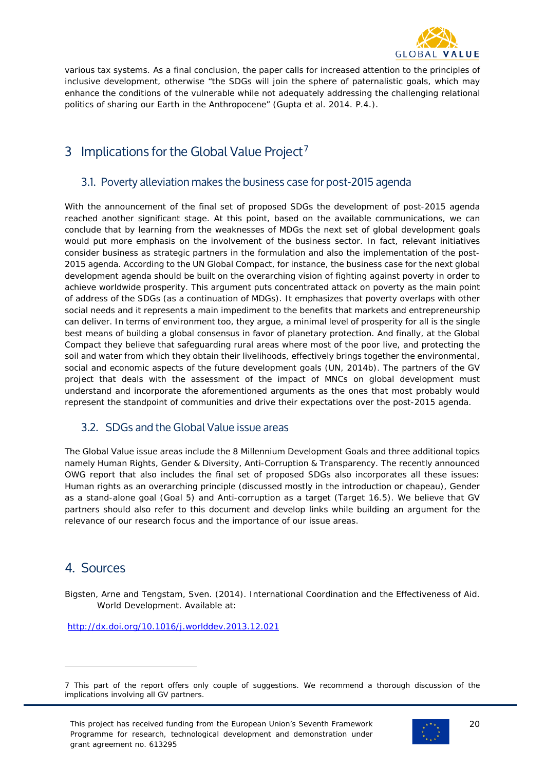

various tax systems. As a final conclusion, the paper calls for increased attention to the principles of inclusive development, otherwise "the SDGs will join the sphere of paternalistic goals, which may enhance the conditions of the vulnerable while not adequately addressing the challenging relational politics of sharing our Earth in the Anthropocene" (Gupta et al. 2014. P.4.).

# <span id="page-19-0"></span>3 Implications for the Global Value Project<sup>[7](#page-19-4)</sup>

## <span id="page-19-1"></span>3.1. Poverty alleviation makes the business case for post-2015 agenda

With the announcement of the final set of proposed SDGs the development of post-2015 agenda reached another significant stage. At this point, based on the available communications, we can conclude that by learning from the weaknesses of MDGs the next set of global development goals would put more emphasis on the involvement of the business sector. In fact, relevant initiatives consider business as strategic partners in the formulation and also the implementation of the post-2015 agenda. According to the UN Global Compact, for instance, the business case for the next global development agenda should be built on the overarching vision of fighting against poverty in order to achieve worldwide prosperity. This argument puts concentrated attack on poverty as the main point of address of the SDGs (as a continuation of MDGs). It emphasizes that poverty overlaps with other social needs and it represents a main impediment to the benefits that markets and entrepreneurship can deliver. In terms of environment too, they argue, a minimal level of prosperity for all is the single best means of building a global consensus in favor of planetary protection. And finally, at the Global Compact they believe that safeguarding rural areas where most of the poor live, and protecting the soil and water from which they obtain their livelihoods, effectively brings together the environmental, social and economic aspects of the future development goals (UN, 2014b). The partners of the GV project that deals with the assessment of the impact of MNCs on global development must understand and incorporate the aforementioned arguments as the ones that most probably would represent the standpoint of communities and drive their expectations over the post-2015 agenda.

## <span id="page-19-2"></span>3.2. SDGs and the Global Value issue areas

The Global Value issue areas include the 8 Millennium Development Goals and three additional topics namely Human Rights, Gender & Diversity, Anti-Corruption & Transparency. The recently announced OWG report that also includes the final set of proposed SDGs also incorporates all these issues: Human rights as an overarching principle (discussed mostly in the introduction or chapeau), Gender as a stand-alone goal (Goal 5) and Anti-corruption as a target (Target 16.5). We believe that GV partners should also refer to this document and develop links while building an argument for the relevance of our research focus and the importance of our issue areas.

# <span id="page-19-3"></span>4. Sources

i<br>I

Bigsten, Arne and Tengstam, Sven. (2014). International Coordination and the Effectiveness of Aid. World Development. Available at:

<http://dx.doi.org/10.1016/j.worlddev.2013.12.021>



<span id="page-19-4"></span><sup>7</sup> This part of the report offers only couple of suggestions. We recommend a thorough discussion of the implications involving all GV partners.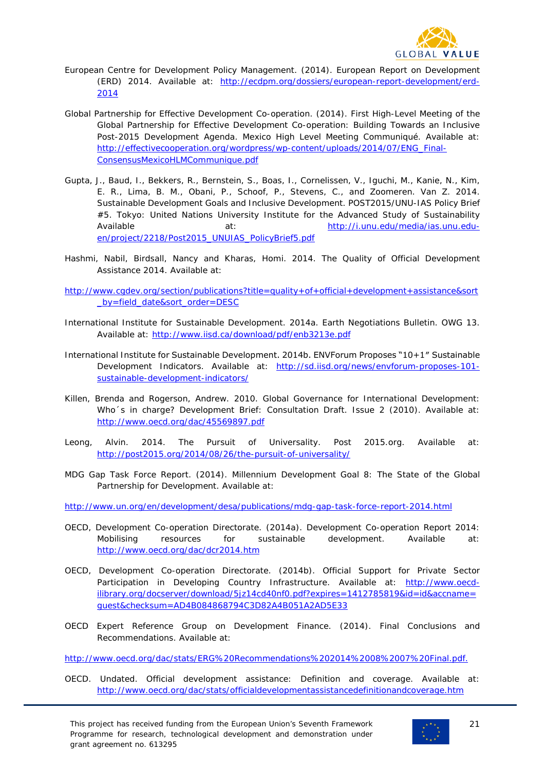

- European Centre for Development Policy Management. (2014). European Report on Development (ERD) 2014. Available at: http://ecdpm.org/dossiers/european-report-development/erd-2014
- Global Partnership for Effective Development Co-operation. (2014). First High-Level Meeting of the Global Partnership for Effective Development Co-operation: Building Towards an Inclusive Post-2015 Development Agenda. Mexico High Level Meeting Communiqué. Available at: [http://effectivecooperation.org/wordpress/wp-content/uploads/2014/07/ENG\\_Final-](http://effectivecooperation.org/wordpress/wp-content/uploads/2014/07/ENG_Final-ConsensusMexicoHLMCommunique.pdf)[ConsensusMexicoHLMCommunique.pdf](http://effectivecooperation.org/wordpress/wp-content/uploads/2014/07/ENG_Final-ConsensusMexicoHLMCommunique.pdf)
- Gupta, J., Baud, I., Bekkers, R., Bernstein, S., Boas, I., Cornelissen, V., Iguchi, M., Kanie, N., Kim, E. R., Lima, B. M., Obani, P., Schoof, P., Stevens, C., and Zoomeren. Van Z. 2014. Sustainable Development Goals and Inclusive Development. POST2015/UNU-IAS Policy Brief #5. Tokyo: United Nations University Institute for the Advanced Study of Sustainability Available at: [http://i.unu.edu/media/ias.unu.edu](http://i.unu.edu/media/ias.unu.edu-en/project/2218/Post2015_UNUIAS_PolicyBrief5.pdf)[en/project/2218/Post2015\\_UNUIAS\\_PolicyBrief5.pdf](http://i.unu.edu/media/ias.unu.edu-en/project/2218/Post2015_UNUIAS_PolicyBrief5.pdf)
- Hashmi, Nabil, Birdsall, Nancy and Kharas, Homi. 2014. The Quality of Official Development Assistance 2014. Available at:
- http://www.cgdev.org/section/publications?title=quality+of+official+development+assistance&sort by=field\_date&sort\_order=DESC
- International Institute for Sustainable Development. 2014a. Earth Negotiations Bulletin. OWG 13. Available at: http://www.iisd.ca/download/pdf/enb3213e.pdf
- International Institute for Sustainable Development. 2014b. ENVForum Proposes "10+1″ Sustainable Development Indicators. Available at: [http://sd.iisd.org/news/envforum-proposes-101](http://sd.iisd.org/news/envforum-proposes-101-sustainable-development-indicators/) [sustainable-development-indicators/](http://sd.iisd.org/news/envforum-proposes-101-sustainable-development-indicators/)
- Killen, Brenda and Rogerson, Andrew. 2010. Global Governance for International Development: Who´s in charge? Development Brief: Consultation Draft. Issue 2 (2010). Available at: http://www.oecd.org/dac/45569897.pdf
- Leong, Alvin. 2014. The Pursuit of Universality. Post 2015.org. Available at: <http://post2015.org/2014/08/26/the-pursuit-of-universality/>
- MDG Gap Task Force Report. (2014). Millennium Development Goal 8: The State of the Global Partnership for Development. Available at:

<http://www.un.org/en/development/desa/publications/mdg-gap-task-force-report-2014.html>

- OECD, Development Co-operation Directorate. (2014a). Development Co-operation Report 2014: Mobilising resources for sustainable development. Available at: http://www.oecd.org/dac/dcr2014.htm
- OECD, Development Co-operation Directorate. (2014b). Official Support for Private Sector Participation in Developing Country Infrastructure. Available at: http://www.oecdilibrary.org/docserver/download/5jz14cd40nf0.pdf?expires=1412785819&id=id&accname= guest&checksum=AD4B084868794C3D82A4B051A2AD5E33
- OECD Expert Reference Group on Development Finance. (2014). Final Conclusions and Recommendations. Available at:

http://www.oecd.org/dac/stats/ERG%20Recommendations%202014%2008%2007%20Final.pdf.

OECD. Undated. Official development assistance: Definition and coverage. Available at: <http://www.oecd.org/dac/stats/officialdevelopmentassistancedefinitionandcoverage.htm>